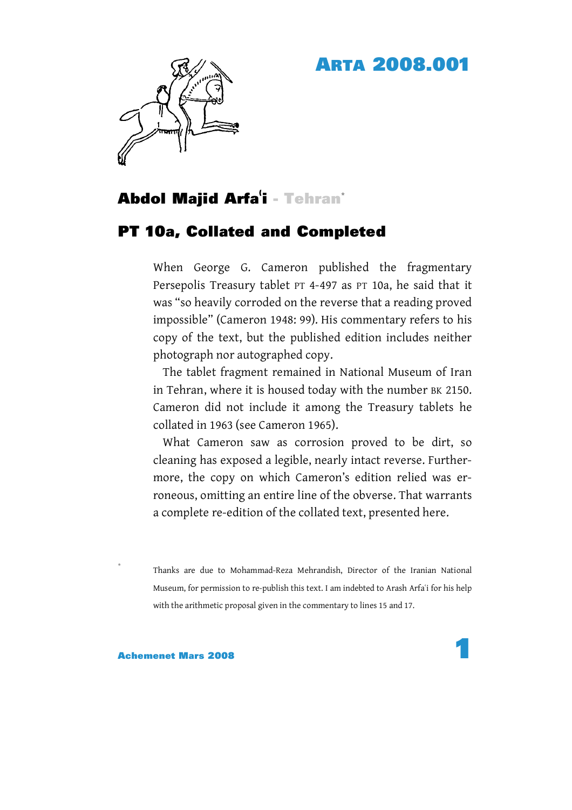# **ARTA 2008.001**



# **Abdol Majid Arfa ( i - Tehran\***

# **PT 10a, Collated and Completed**

When George G. Cameron published the fragmentary Persepolis Treasury tablet PT 4-497 as PT 10a, he said that it was "so heavily corroded on the reverse that a reading proved impossible" (Cameron 1948: 99). His commentary refers to his copy of the text, but the published edition includes neither photograph nor autographed copy.

The tablet fragment remained in National Museum of Iran in Tehran, where it is housed today with the number BK 2150. Cameron did not include it among the Treasury tablets he collated in 1963 (see Cameron 1965).

What Cameron saw as corrosion proved to be dirt, so cleaning has exposed a legible, nearly intact reverse. Furthermore, the copy on which Cameron's edition relied was erroneous, omitting an entire line of the obverse. That warrants a complete re-edition of the collated text, presented here.

**\*** Thanks are due to Mohammad-Reza Mehrandish, Director of the Iranian National Museum, for permission to re-publish this text. I am indebted to Arash Arfaʿi for his help with the arithmetic proposal given in the commentary to lines 15 and 17.

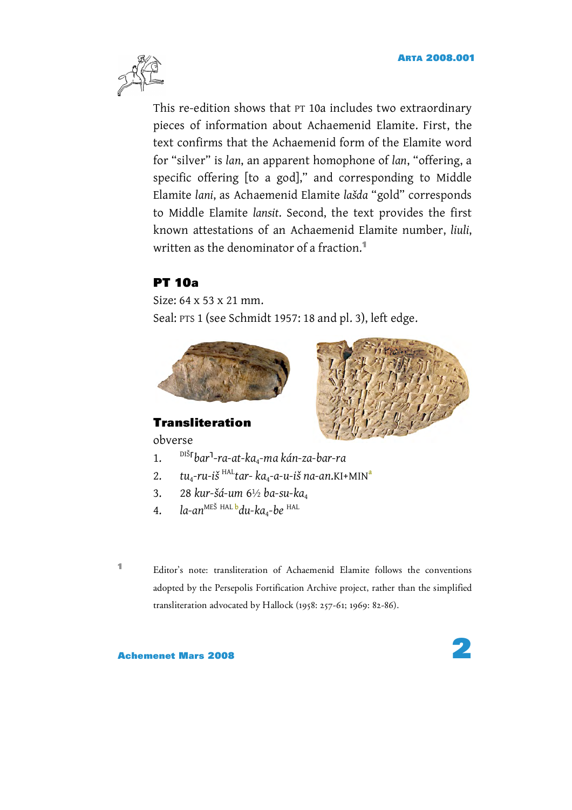

This re-edition shows that PT 10a includes two extraordinary pieces of information about Achaemenid Elamite. First, the text confirms that the Achaemenid form of the Elamite word for "silver" is *lan*, an apparent homophone of *lan*, "offering, a specific offering [to a god]," and corresponding to Middle Elamite *lani*, as Achaemenid Elamite *lašda* "gold" corresponds to Middle Elamite *lansit*. Second, the text provides the first known attestations of an Achaemenid Elamite number, *liuli*, written as the denominator of a fraction. **1**

### **PT 10a**

Size: 64 x 53 x 21 mm. Seal: PTS 1 (see Schmidt 1957: 18 and pl. 3), left edge.





## **Transliteration**

obverse

- 1. DI<sup>Š</sup> ˹*bar*˺-*ra-at-ka*4*-ma kán-za-bar-ra*
- 2. *tu*4*-ru-iš* HAL *tar- ka*4*-a-u-iš na-an*.KI+MI[N](#page-3-0)**<sup>a</sup>**
- 3. 28 *kur-šá-um* 61⁄<sup>2</sup> *ba-su-ka*<sup>4</sup>
- 4. *la-an*ME<sup>Š</sup> HAL **[b](#page-3-0)** *du-ka*4*-be* HAL
- 

**<sup>1</sup>** Editor's note: transliteration of Achaemenid Elamite follows the conventions adopted by the Persepolis Fortification Archive project, rather than the simplified transliteration advocated by Hallock (1958: 257-61; 1969: 82-86).

#### **Achemenet Mars 2008**

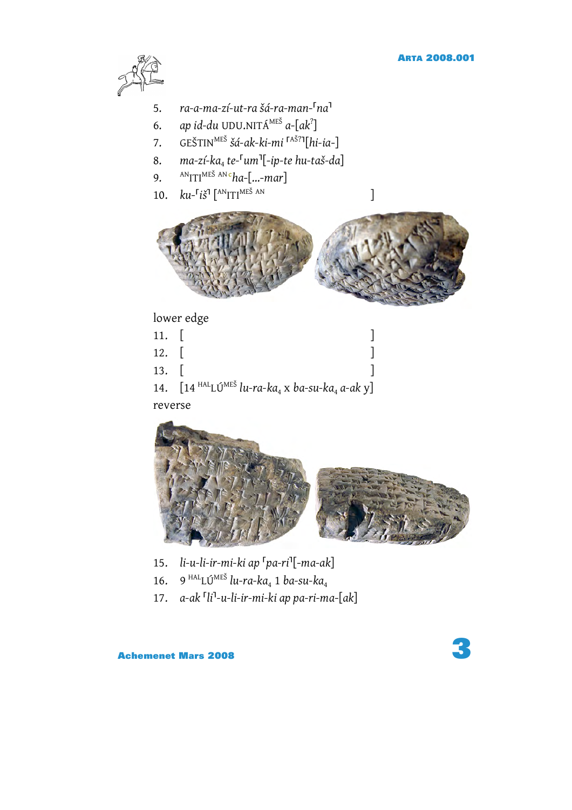

- 5. *ra-a-ma-zí-ut-ra šá-ra-man-*「na<sup>1</sup>
- 6. *ap id-du* UDU.NITÁME<sup>Š</sup> *a*-[*ak*? ]
- 7. GEŠTIN<sup>MEŠ</sup> šá-ak-ki-mi <sup>raš?1</sup>[hi-ia-]
- 8. *ma-zí-ka*<sup>4</sup> *te-*˹*um*˺[-*ip-te hu-taš-da*]
- 9. AN ITI MEŠ AN**c** *[ha](#page-3-0)*-[…-*mar*]
- 10.  $ku$ - $[i\check{s}$ <sup> $\hat{i}$ </sup><sub> $\text{[AN}}$ ITI<sup>MEŠ AN</sup> ]</sub>



# lower edge

- 11. [ ]
- 12. [ ]
- 13. [ ]
- 14. [14 HAL LÚME<sup>Š</sup> *lu-ra-ka*4 x *ba-su-ka*<sup>4</sup> *a-ak* y]

reverse



- 15. *li-u-li-ir-mi-ki ap* ˹*pa-ri*˺[-*ma-ak*]
- 16. 9 HAL LÚME<sup>Š</sup> *lu-ra-ka*<sup>4</sup> 1 *ba-su-ka*<sup>4</sup>
- 17. *a-ak* ˹*li*˺*-u-li-ir-mi-ki ap pa-ri-ma*-[*ak*]

**Achemenet Mars 2008**

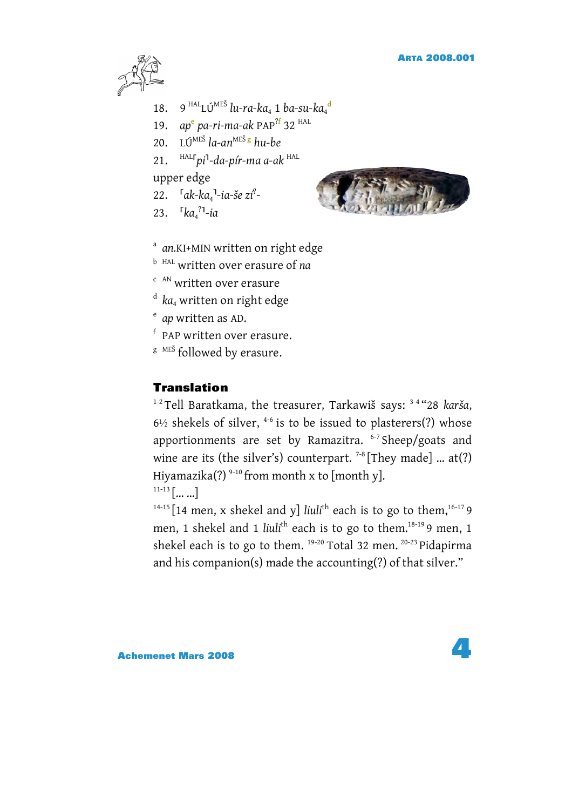<span id="page-3-0"></span>

- 18. 9<sup>HAL</sup>LÚ<sup>MEŠ</sup> lu-ra-ka<sub>4</sub> 1 ba-su-ka<sub>4</sub><sup>[d](#page-3-0)</sup>
- 19. *ap***<sup>e</sup>** *[pa](#page-3-0)-ri-ma-ak* PAP?**<sup>f</sup>** [32](#page-3-0) HAL
- 20. LÚME<sup>Š</sup> *la-an*ME<sup>Š</sup> **<sup>g</sup>** *[h](#page-3-0)u-be*
- 21. HAL ˹*pi*˺-*da-pír-ma a-ak* HAL

upper edge

- 22. <sup>「</sup>ak-ka<sub>4</sub><sup>1</sup>-ia-še zí<sup>?</sup>-
- 23. ˹*ka*<sup>4</sup> ? ˺-*ia*



- <sup>a</sup> *an.*KI+MIN written on right edge
- b HAL written over erasure of *na*
- <sup>c AN</sup> written over erasure
- <sup>d</sup>*ka*4 written on right edge
- <sup>e</sup> *ap* written as AD.
- <sup>f</sup> PAP written over erasure.
- <sup>g MEŠ</sup> followed by erasure.

### **Translation**

1-2 Tell Baratkama, the treasurer, Tarkawiš says: 3-4 "28 *karša*,  $6\frac{1}{2}$  shekels of silver,  $4-6$  is to be issued to plasterers(?) whose apportionments are set by Ramazitra. 6-7 Sheep/goats and wine are its (the silver's) counterpart.  $7-8$  [They made] ... at(?) Hiyamazika(?)  $9-10$  from month x to [month y].  $11-13$   $\lceil \dots \dots \rceil$ 

 $14-15$  [14 men, x shekel and y] *liuli*<sup>th</sup> each is to go to them,  $16-17$  9 men, 1 shekel and 1 *liuli*<sup>th</sup> each is to go to them.<sup>18-19</sup> 9 men, 1 shekel each is to go to them.  $19-20$  Total 32 men.  $20-23$  Pidapirma and his companion(s) made the accounting(?) of that silver."

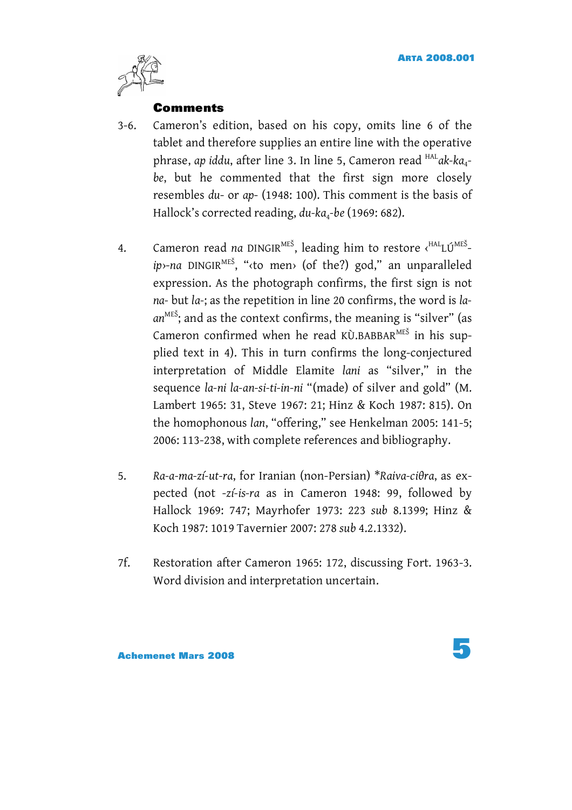

### **Comments**

- 3-6. Cameron's edition, based on his copy, omits line 6 of the tablet and therefore supplies an entire line with the operative phrase, ap iddu, after line 3. In line 5, Cameron read <sup>HAL</sup>ak-ka<sub>4</sub>*be*, but he commented that the first sign more closely resembles *du*- or *ap*- (1948: 100). This comment is the basis of Hallock's corrected reading, du-ka<sub>4</sub>-be (1969: 682).
- 4. Cameron read *na* DINGIR<sup>MEŠ</sup>, leading him to restore <<sup>HAL</sup>LÚ<sup>MEŠ</sup>*ip*›-*na* DINGIRME<sup>Š</sup> , "‹to men› (of the?) god," an unparalleled expression. As the photograph confirms, the first sign is not *na-* but *la-*; as the repetition in line 20 confirms, the word is *la*an<sup>meš</sup>; and as the context confirms, the meaning is "silver" (as Cameron confirmed when he read KÙ.BABBAR<sup>MEŠ</sup> in his supplied text in 4). This in turn confirms the long-conjectured interpretation of Middle Elamite *lani* as "silver," in the sequence *la-ni la-an-si-ti-in-ni* "(made) of silver and gold" (M. Lambert 1965: 31, Steve 1967: 21; Hinz & Koch 1987: 815). On the homophonous *lan*, "offering," see Henkelman 2005: 141-5; 2006: 113-238, with complete references and bibliography.
- 5. *Ra-a-ma-zí-ut-ra*, for Iranian (non-Persian) \**Raiva-ciθra*, as expected (not -*zí-is-ra* as in Cameron 1948: 99, followed by Hallock 1969: 747; Mayrhofer 1973: 223 *sub* 8.1399; Hinz & Koch 1987: 1019 Tavernier 2007: 278 *sub* 4.2.1332).
- 7f. Restoration after Cameron 1965: 172, discussing Fort. 1963-3. Word division and interpretation uncertain.

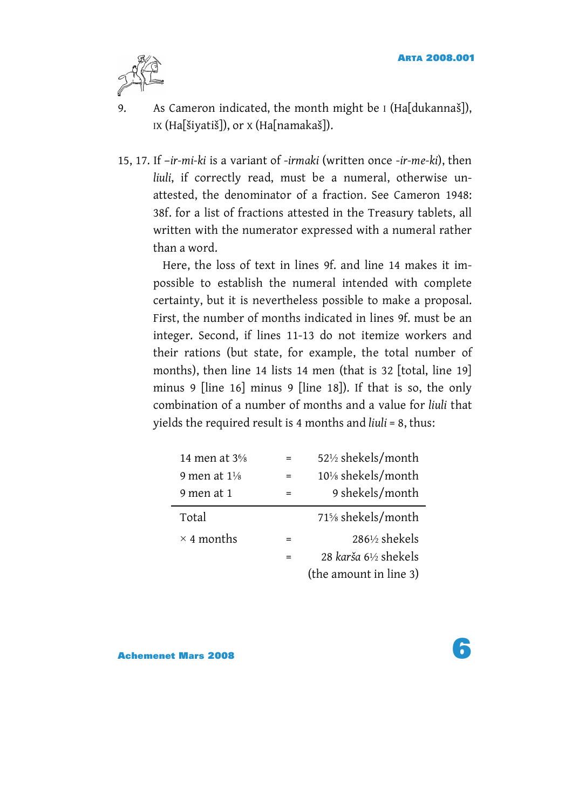

- 9. As Cameron indicated, the month might be I (Ha[dukannaš]), IX (Ha[šiyatiš]), or  $X$  (Ha[namakaš]).
- 15, 17. If –*ir-mi-ki* is a variant of -*irmaki* (written once -*ir-me-ki*), then *liuli*, if correctly read, must be a numeral, otherwise unattested, the denominator of a fraction. See Cameron 1948: 38f. for a list of fractions attested in the Treasury tablets, all written with the numerator expressed with a numeral rather than a word.

Here, the loss of text in lines 9f. and line 14 makes it impossible to establish the numeral intended with complete certainty, but it is nevertheless possible to make a proposal. First, the number of months indicated in lines 9f. must be an integer. Second, if lines 11-13 do not itemize workers and their rations (but state, for example, the total number of months), then line 14 lists 14 men (that is 32 [total, line 19] minus 9 [line 16] minus 9 [line 18]). If that is so, the only combination of a number of months and a value for *liuli* that yields the required result is 4 months and *liuli* = 8, thus:

| 14 men at $3\%$         |     | 52½ shekels/month                            |
|-------------------------|-----|----------------------------------------------|
| 9 men at $1\frac{1}{8}$ |     | 10 <sup>1</sup> / <sub>8</sub> shekels/month |
| 9 men at 1              |     | 9 shekels/month                              |
| Total                   |     | 71% shekels/month                            |
| $\times$ 4 months       | $=$ | $286\frac{1}{2}$ shekels                     |
|                         |     | 28 karša 6½ shekels                          |
|                         |     | (the amount in line 3)                       |

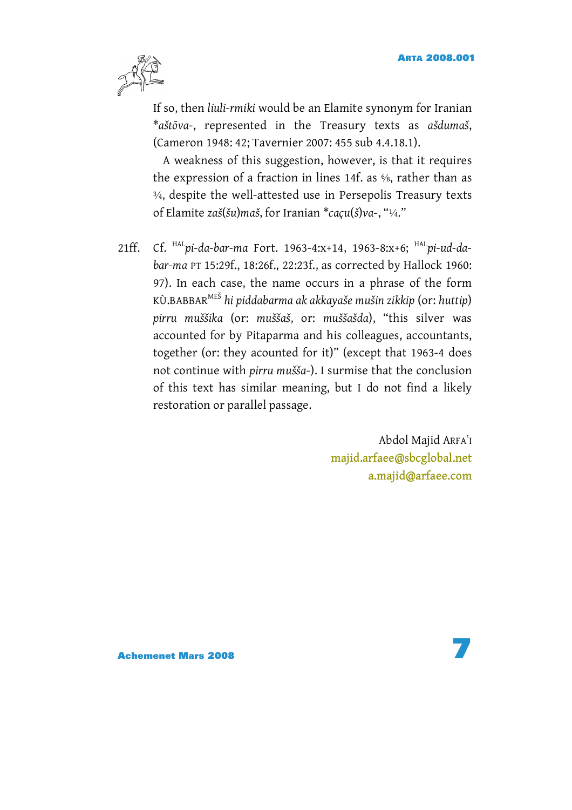

If so, then *liuli*-*rmiki* would be an Elamite synonym for Iranian \**aštōva*-, represented in the Treasury texts as *ašdumaš*, (Cameron 1948: 42; Tavernier 2007: 455 sub 4.4.18.1).

A weakness of this suggestion, however, is that it requires the expression of a fraction in lines 14f. as %, rather than as <sup>3</sup>⁄4, despite the well-attested use in Persepolis Treasury texts of Elamite *zaš*(*šu*)*maš*, for Iranian \**caçu*(*š*)*va*-, "1⁄4."

21ff. Cf. HAL *pi-da-bar-ma* Fort. 1963-4:x+14, 1963-8:x+6; HAL *pi-ud-dabar-ma* PT 15:29f., 18:26f., 22:23f., as corrected by Hallock 1960: 97). In each case, the name occurs in a phrase of the form KÙ.BABBARME<sup>Š</sup> *hi piddabarma ak akkayaše mušin zikkip* (or: *huttip*) *pirru muššika* (or: *muššaš*, or: *muššašda*), "this silver was accounted for by Pitaparma and his colleagues, accountants, together (or: they acounted for it)" (except that 1963-4 does not continue with *pirru mušša*-). I surmise that the conclusion of this text has similar meaning, but I do not find a likely restoration or parallel passage.

> Abdol Majid ARFAʿI **[majid.arfaee@sbcglobal.net](mailto:majid.arfaee@sbcglobal.net) [a.majid@arfaee.com](mailto:a.majid@arfaee.com)**